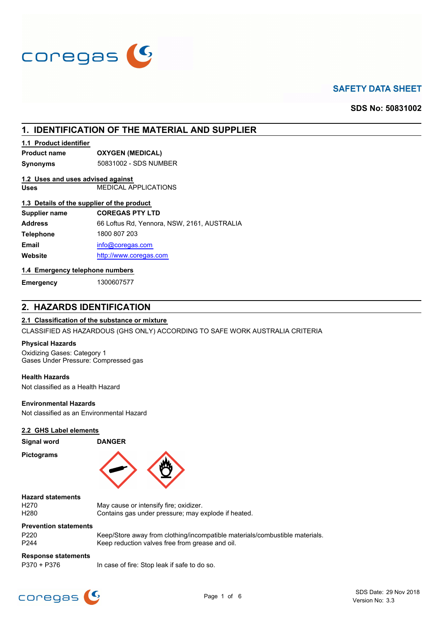

# **SAFETY DATA SHEET**

**SDS No: 50831002**

# **1. IDENTIFICATION OF THE MATERIAL AND SUPPLIER**

### **1.1 Product identifier**

**Product name OXYGEN (MEDICAL)**

**Synonyms** 50831002 - SDS NUMBER

### **1.2 Uses and uses advised against**

**Uses** MEDICAL APPLICATIONS

# **1.3 Details of the supplier of the product**

| Supplier name    | <b>COREGAS PTY LTD</b>                      |
|------------------|---------------------------------------------|
| <b>Address</b>   | 66 Loftus Rd, Yennora, NSW, 2161, AUSTRALIA |
| <b>Telephone</b> | 1800 807 203                                |
| <b>Email</b>     | info@coregas.com                            |
| Website          | http://www.coregas.com                      |
|                  |                                             |

### **1.4 Emergency telephone numbers**

**Emergency** 1300607577

# **2. HAZARDS IDENTIFICATION**

### **2.1 Classification of the substance or mixture**

CLASSIFIED AS HAZARDOUS (GHS ONLY) ACCORDING TO SAFE WORK AUSTRALIA CRITERIA

### **Physical Hazards**

Oxidizing Gases: Category 1 Gases Under Pressure: Compressed gas

### **Health Hazards**

Not classified as a Health Hazard

### **Environmental Hazards**

Not classified as an Environmental Hazard

### **2.2 GHS Label elements**

### **Signal word DANGER**

**Pictograms**



### **Hazard statements**

H270 May cause or intensify fire; oxidizer.<br>H280 **May contains aas under pressure: may e** Contains gas under pressure; may explode if heated.

# **Prevention statements**

P220 Keep/Store away from clothing/incompatible materials/combustible materials. P244 Keep reduction valves free from grease and oil.

# **Response statements**

P370 + P376 In case of fire: Stop leak if safe to do so.

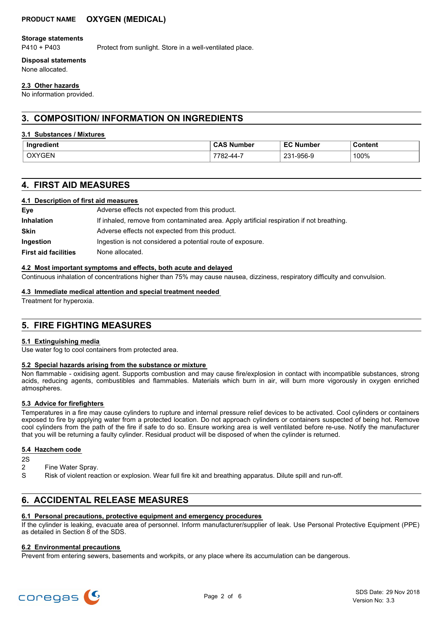# **PRODUCT NAME OXYGEN (MEDICAL)**

### **Storage statements**

P410 + P403 Protect from sunlight. Store in a well-ventilated place.

### **Disposal statements**

None allocated.

### **2.3 Other hazards**

No information provided.

# **3. COMPOSITION/ INFORMATION ON INGREDIENTS**

### **3.1 Substances / Mixtures**

| Ingredient<br>. .            | lumber | Ee <sup>-</sup><br><b>Number</b> | Content<br>. |
|------------------------------|--------|----------------------------------|--------------|
| .<br><b>GEN</b><br>$\lambda$ | '-44-  | 1-956-9<br>ົດລາ<br>້             | 100%         |

# **4. FIRST AID MEASURES**

### **4.1 Description of first aid measures**

| Eye                         | Adverse effects not expected from this product.                                           |
|-----------------------------|-------------------------------------------------------------------------------------------|
| <b>Inhalation</b>           | If inhaled, remove from contaminated area. Apply artificial respiration if not breathing. |
| <b>Skin</b>                 | Adverse effects not expected from this product.                                           |
| Ingestion                   | Ingestion is not considered a potential route of exposure.                                |
| <b>First aid facilities</b> | None allocated.                                                                           |

### **4.2 Most important symptoms and effects, both acute and delayed**

Continuous inhalation of concentrations higher than 75% may cause nausea, dizziness, respiratory difficulty and convulsion.

### **4.3 Immediate medical attention and special treatment needed**

Treatment for hyperoxia.

# **5. FIRE FIGHTING MEASURES**

### **5.1 Extinguishing media**

Use water fog to cool containers from protected area.

### **5.2 Special hazards arising from the substance or mixture**

Non flammable - oxidising agent. Supports combustion and may cause fire/explosion in contact with incompatible substances, strong acids, reducing agents, combustibles and flammables. Materials which burn in air, will burn more vigorously in oxygen enriched atmospheres.

### **5.3 Advice for firefighters**

Temperatures in a fire may cause cylinders to rupture and internal pressure relief devices to be activated. Cool cylinders or containers exposed to fire by applying water from a protected location. Do not approach cylinders or containers suspected of being hot. Remove cool cylinders from the path of the fire if safe to do so. Ensure working area is well ventilated before re-use. Notify the manufacturer that you will be returning a faulty cylinder. Residual product will be disposed of when the cylinder is returned.

### **5.4 Hazchem code**

2S

- Fine Water Spray.
- S Risk of violent reaction or explosion. Wear full fire kit and breathing apparatus. Dilute spill and run-off.

# **6. ACCIDENTAL RELEASE MEASURES**

### **6.1 Personal precautions, protective equipment and emergency procedures**

If the cylinder is leaking, evacuate area of personnel. Inform manufacturer/supplier of leak. Use Personal Protective Equipment (PPE) as detailed in Section 8 of the SDS.

### **6.2 Environmental precautions**

Prevent from entering sewers, basements and workpits, or any place where its accumulation can be dangerous.

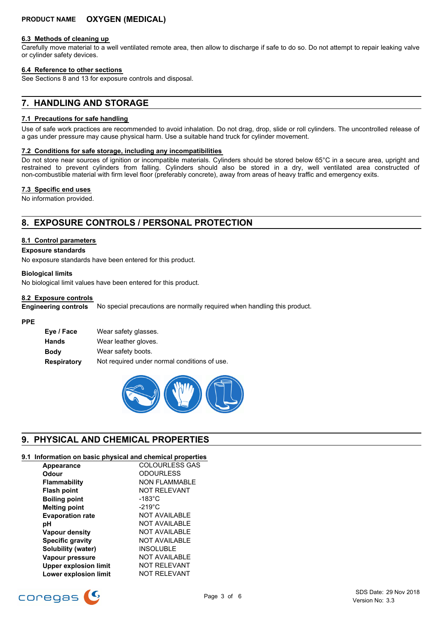### **6.3 Methods of cleaning up**

Carefully move material to a well ventilated remote area, then allow to discharge if safe to do so. Do not attempt to repair leaking valve or cylinder safety devices.

### **6.4 Reference to other sections**

See Sections 8 and 13 for exposure controls and disposal.

# **7. HANDLING AND STORAGE**

### **7.1 Precautions for safe handling**

Use of safe work practices are recommended to avoid inhalation. Do not drag, drop, slide or roll cylinders. The uncontrolled release of a gas under pressure may cause physical harm. Use a suitable hand truck for cylinder movement.

### **7.2 Conditions for safe storage, including any incompatibilities**

Do not store near sources of ignition or incompatible materials. Cylinders should be stored below 65°C in a secure area, upright and restrained to prevent cylinders from falling. Cylinders should also be stored in a dry, well ventilated area constructed of non-combustible material with firm level floor (preferably concrete), away from areas of heavy traffic and emergency exits.

### **7.3 Specific end uses**

No information provided.

# **8. EXPOSURE CONTROLS / PERSONAL PROTECTION**

### **8.1 Control parameters**

### **Exposure standards**

No exposure standards have been entered for this product.

### **Biological limits**

No biological limit values have been entered for this product.

### **8.2 Exposure controls**

No special precautions are normally required when handling this product. **Engineering controls**

### **PPE**

| Eye / Face  | Wear safety glasses.                         |
|-------------|----------------------------------------------|
| Hands       | Wear leather gloves.                         |
| Body        | Wear safety boots.                           |
| Respiratory | Not required under normal conditions of use. |



# **9. PHYSICAL AND CHEMICAL PROPERTIES**

# **9.1 Information on basic physical and chemical properties**

| Appearance                   | <b>COLOURLESS GAS</b> |
|------------------------------|-----------------------|
| Odour                        | <b>ODOURLESS</b>      |
| <b>Flammability</b>          | <b>NON FLAMMABLE</b>  |
| <b>Flash point</b>           | <b>NOT RELEVANT</b>   |
| <b>Boiling point</b>         | $-183^{\circ}$ C      |
| <b>Melting point</b>         | $-219^{\circ}$ C      |
| <b>Evaporation rate</b>      | <b>NOT AVAILABLE</b>  |
| рH                           | NOT AVAILABLE         |
| <b>Vapour density</b>        | <b>NOT AVAILABLE</b>  |
| <b>Specific gravity</b>      | <b>NOT AVAILABLE</b>  |
| Solubility (water)           | <b>INSOLUBLE</b>      |
| Vapour pressure              | <b>NOT AVAILABLE</b>  |
| <b>Upper explosion limit</b> | <b>NOT RELEVANT</b>   |
| <b>Lower explosion limit</b> | <b>NOT RELEVANT</b>   |

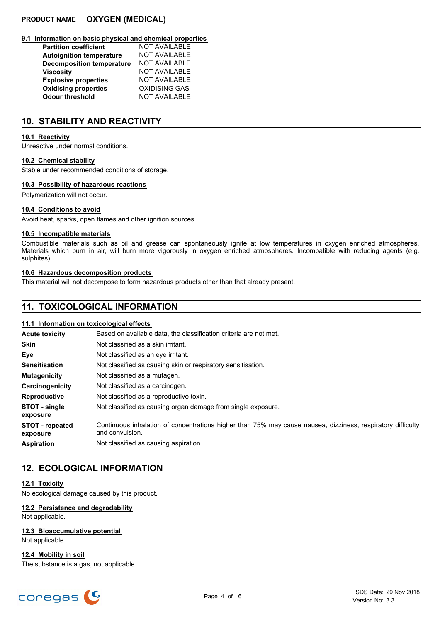# **PRODUCT NAME OXYGEN (MEDICAL)**

### **9.1 Information on basic physical and chemical properties**

| <b>Partition coefficient</b>     | NOT AVAILABLE        |
|----------------------------------|----------------------|
| <b>Autoignition temperature</b>  | <b>NOT AVAILABLE</b> |
| <b>Decomposition temperature</b> | <b>NOT AVAILABLE</b> |
| <b>Viscosity</b>                 | <b>NOT AVAILABLE</b> |
| <b>Explosive properties</b>      | <b>NOT AVAILABLE</b> |
| <b>Oxidising properties</b>      | <b>OXIDISING GAS</b> |
| <b>Odour threshold</b>           | <b>NOT AVAILABLE</b> |

# **10. STABILITY AND REACTIVITY**

### **10.1 Reactivity**

Unreactive under normal conditions.

#### **10.2 Chemical stability**

Stable under recommended conditions of storage.

### **10.3 Possibility of hazardous reactions**

Polymerization will not occur.

### **10.4 Conditions to avoid**

Avoid heat, sparks, open flames and other ignition sources.

### **10.5 Incompatible materials**

Combustible materials such as oil and grease can spontaneously ignite at low temperatures in oxygen enriched atmospheres. Materials which burn in air, will burn more vigorously in oxygen enriched atmospheres. Incompatible with reducing agents (e.g. sulphites).

### **10.6 Hazardous decomposition products**

This material will not decompose to form hazardous products other than that already present.

# **11. TOXICOLOGICAL INFORMATION**

### **11.1 Information on toxicological effects**

| <b>Acute toxicity</b>       | Based on available data, the classification criteria are not met.                                                              |
|-----------------------------|--------------------------------------------------------------------------------------------------------------------------------|
| <b>Skin</b>                 | Not classified as a skin irritant.                                                                                             |
| Eye                         | Not classified as an eye irritant.                                                                                             |
| <b>Sensitisation</b>        | Not classified as causing skin or respiratory sensitisation.                                                                   |
| <b>Mutagenicity</b>         | Not classified as a mutagen.                                                                                                   |
| Carcinogenicity             | Not classified as a carcinogen.                                                                                                |
| <b>Reproductive</b>         | Not classified as a reproductive toxin.                                                                                        |
| STOT - single<br>exposure   | Not classified as causing organ damage from single exposure.                                                                   |
| STOT - repeated<br>exposure | Continuous inhalation of concentrations higher than 75% may cause nausea, dizziness, respiratory difficulty<br>and convulsion. |
| <b>Aspiration</b>           | Not classified as causing aspiration.                                                                                          |

# **12. ECOLOGICAL INFORMATION**

### **12.1 Toxicity**

No ecological damage caused by this product.

# **12.2 Persistence and degradability**

Not applicable.

# **12.3 Bioaccumulative potential**

Not applicable.

**12.4 Mobility in soil** The substance is a gas, not applicable.

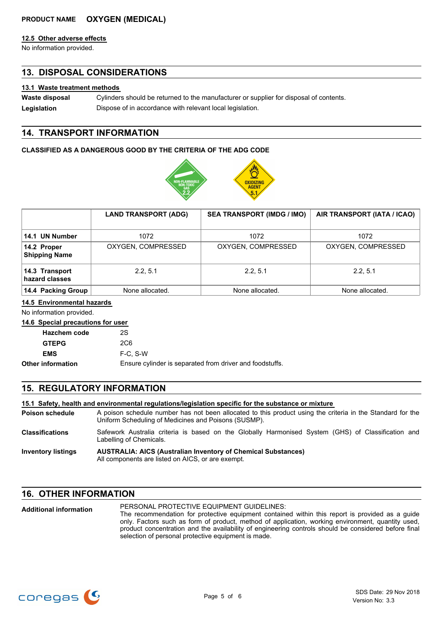# **PRODUCT NAME OXYGEN (MEDICAL)**

### **12.5 Other adverse effects**

No information provided.

# **13. DISPOSAL CONSIDERATIONS**

### **13.1 Waste treatment methods**

Cylinders should be returned to the manufacturer or supplier for disposal of contents. **Waste disposal**

Legislation **Dispose of in accordance with relevant local legislation.** 

# **14. TRANSPORT INFORMATION**

### **CLASSIFIED AS A DANGEROUS GOOD BY THE CRITERIA OF THE ADG CODE**



|                                     | <b>LAND TRANSPORT (ADG)</b> | <b>SEA TRANSPORT (IMDG / IMO)</b> | AIR TRANSPORT (IATA / ICAO) |
|-------------------------------------|-----------------------------|-----------------------------------|-----------------------------|
| 14.1 UN Number                      | 1072                        | 1072                              | 1072                        |
|                                     |                             |                                   |                             |
| 14.2 Proper<br><b>Shipping Name</b> | OXYGEN, COMPRESSED          | OXYGEN, COMPRESSED                | OXYGEN, COMPRESSED          |
| 14.3 Transport<br>hazard classes    | 2.2.5.1                     | 2.2.5.1                           | 2.2.5.1                     |
| 14.4 Packing Group                  | None allocated.             | None allocated.                   | None allocated.             |

### **14.5 Environmental hazards**

No information provided.

### **14.6 Special precautions for user**

| <b>Hazchem code</b> | 2S                                                       |
|---------------------|----------------------------------------------------------|
| <b>GTEPG</b>        | 2C <sub>6</sub>                                          |
| <b>EMS</b>          | $F-C. S-W$                                               |
| Other information   | Ensure cylinder is separated from driver and foodstuffs. |

# **15. REGULATORY INFORMATION**

### **15.1 Safety, health and environmental regulations/legislation specific for the substance or mixture**

- A poison schedule number has not been allocated to this product using the criteria in the Standard for the Uniform Scheduling of Medicines and Poisons (SUSMP). **Poison schedule** Safework Australia criteria is based on the Globally Harmonised System (GHS) of Classification and **Classifications**
- Labelling of Chemicals.
- **AUSTRALIA: AICS (Australian Inventory of Chemical Substances)** All components are listed on AICS, or are exempt. **Inventory listings**

# **16. OTHER INFORMATION**

| <b>Additional information</b> | PERSONAL PROTECTIVE EQUIPMENT GUIDELINES:                                                            |
|-------------------------------|------------------------------------------------------------------------------------------------------|
|                               | The recommendation for protective equipment contained within this report is provided as a quide      |
|                               | only. Factors such as form of product, method of application, working environment, quantity used,    |
|                               | product concentration and the availability of engineering controls should be considered before final |
|                               | selection of personal protective equipment is made.                                                  |